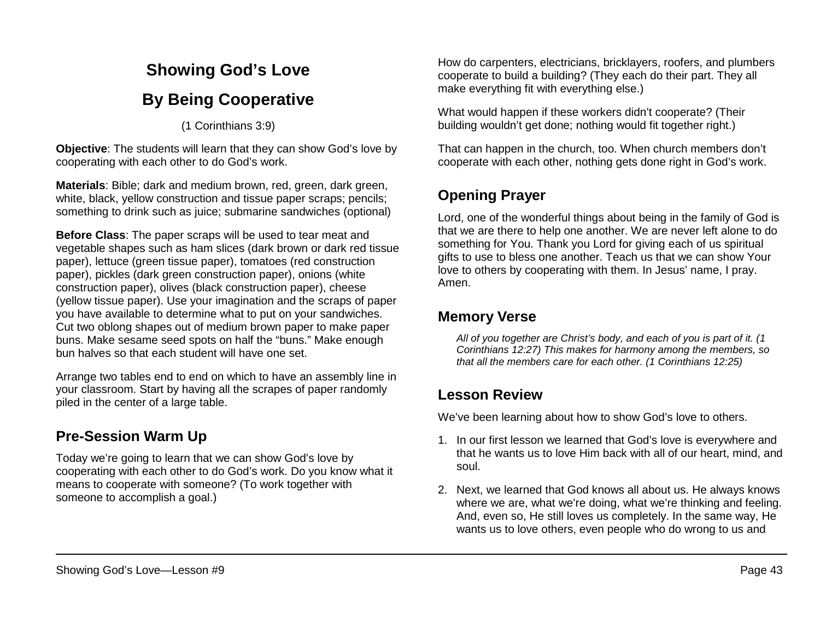# **Showing God's Love By Being Cooperative**

(1 Corinthians 3:9)

**Objective**: The students will learn that they can show God's love by cooperating with each other to do God's work.

**Materials**: Bible; dark and medium brown, red, green, dark green, white, black, yellow construction and tissue paper scraps; pencils; something to drink such as juice; submarine sandwiches (optional)

**Before Class**: The paper scraps will be used to tear meat and vegetable shapes such as ham slices (dark brown or dark red tissue paper), lettuce (green tissue paper), tomatoes (red construction paper), pickles (dark green construction paper), onions (white construction paper), olives (black construction paper), cheese (yellow tissue paper). Use your imagination and the scraps of paper you have available to determine what to put on your sandwiches. Cut two oblong shapes out of medium brown paper to make paper buns. Make sesame seed spots on half the "buns." Make enough bun halves so that each student will have one set.

Arrange two tables end to end on which to have an assembly line in your classroom. Start by having all the scrapes of paper randomly piled in the center of a large table.

## **Pre-Session Warm Up**

Today we're going to learn that we can show God's love by cooperating with each other to do God's work. Do you know what it means to cooperate with someone? (To work together with someone to accomplish a goal.)

How do carpenters, electricians, bricklayers, roofers, and plumbers cooperate to build a building? (They each do their part. They all make everything fit with everything else.)

What would happen if these workers didn't cooperate? (Their building wouldn't get done; nothing would fit together right.)

That can happen in the church, too. When church members don't cooperate with each other, nothing gets done right in God's work.

# **Opening Prayer**

Lord, one of the wonderful things about being in the family of God is that we are there to help one another. We are never left alone to do something for You. Thank you Lord for giving each of us spiritual gifts to use to bless one another. Teach us that we can show Your love to others by cooperating with them. In Jesus' name, I pray. Amen.

### **Memory Verse**

*All of you together are Christ's body, and each of you is part of it. (1 Corinthians 12:27) This makes for harmony among the members, so that all the members care for each other. (1 Corinthians 12:25)*

### **Lesson Review**

We've been learning about how to show God's love to others.

- 1. In our first lesson we learned that God's love is everywhere and that he wants us to love Him back with all of our heart, mind, and soul.
- 2. Next, we learned that God knows all about us. He always knows where we are, what we're doing, what we're thinking and feeling. And, even so, He still loves us completely. In the same way, He wants us to love others, even people who do wrong to us and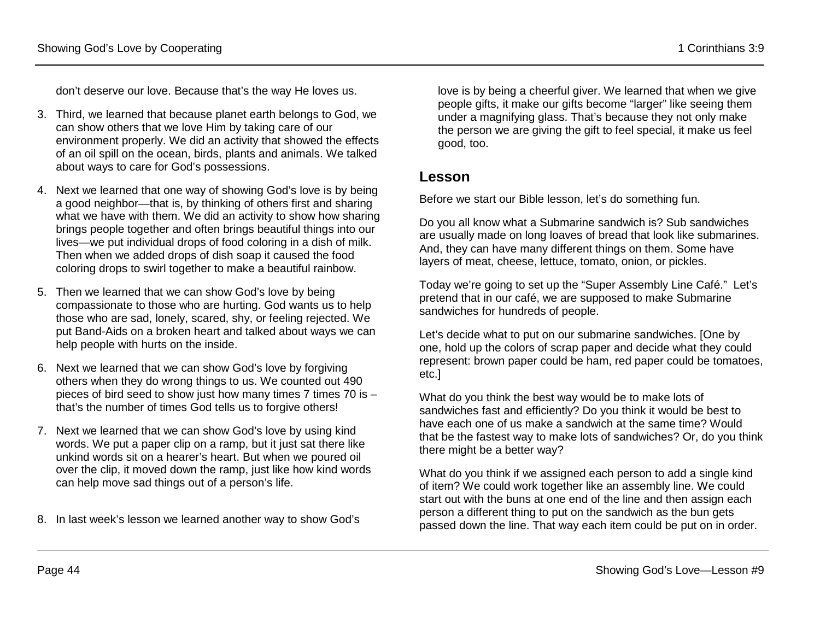don't deserve our love. Because that's the way He loves us.

- 3. Third, we learned that because planet earth belongs to God, we can show others that we love Him by taking care of our environment properly. We did an activity that showed the effects of an oil spill on the ocean, birds, plants and animals. We talked about ways to care for God's possessions.
- 4. Next we learned that one way of showing God's love is by being a good neighbor—that is, by thinking of others first and sharing what we have with them. We did an activity to show how sharing brings people together and often brings beautiful things into our lives—we put individual drops of food coloring in a dish of milk. Then when we added drops of dish soap it caused the food coloring drops to swirl together to make a beautiful rainbow.
- 5. Then we learned that we can show God's love by being compassionate to those who are hurting. God wants us to help those who are sad, lonely, scared, shy, or feeling rejected. We put Band-Aids on a broken heart and talked about ways we can help people with hurts on the inside.
- 6. Next we learned that we can show God's love by forgiving others when they do wrong things to us. We counted out 490 pieces of bird seed to show just how many times 7 times 70 is – that's the number of times God tells us to forgive others!
- 7. Next we learned that we can show God's love by using kind words. We put a paper clip on a ramp, but it just sat there like unkind words sit on a hearer's heart. But when we poured oil over the clip, it moved down the ramp, just like how kind words can help move sad things out of a person's life.

8. In last week's lesson we learned another way to show God's

love is by being a cheerful giver. We learned that when we give people gifts, it make our gifts become "larger" like seeing them under a magnifying glass. That's because they not only make the person we are giving the gift to feel special, it make us feel good, too.

#### **Lesson**

Before we start our Bible lesson, let's do something fun.

Do you all know what a Submarine sandwich is? Sub sandwiches are usually made on long loaves of bread that look like submarines. And, they can have many different things on them. Some have layers of meat, cheese, lettuce, tomato, onion, or pickles.

Today we're going to set up the "Super Assembly Line Café." Let's pretend that in our café, we are supposed to make Submarine sandwiches for hundreds of people.

Let's decide what to put on our submarine sandwiches. [One by one, hold up the colors of scrap paper and decide what they could represent: brown paper could be ham, red paper could be tomatoes, etc.]

What do you think the best way would be to make lots of sandwiches fast and efficiently? Do you think it would be best to have each one of us make a sandwich at the same time? Would that be the fastest way to make lots of sandwiches? Or, do you think there might be a better way?

What do you think if we assigned each person to add a single kind of item? We could work together like an assembly line. We could start out with the buns at one end of the line and then assign each person a different thing to put on the sandwich as the bun gets passed down the line. That way each item could be put on in order.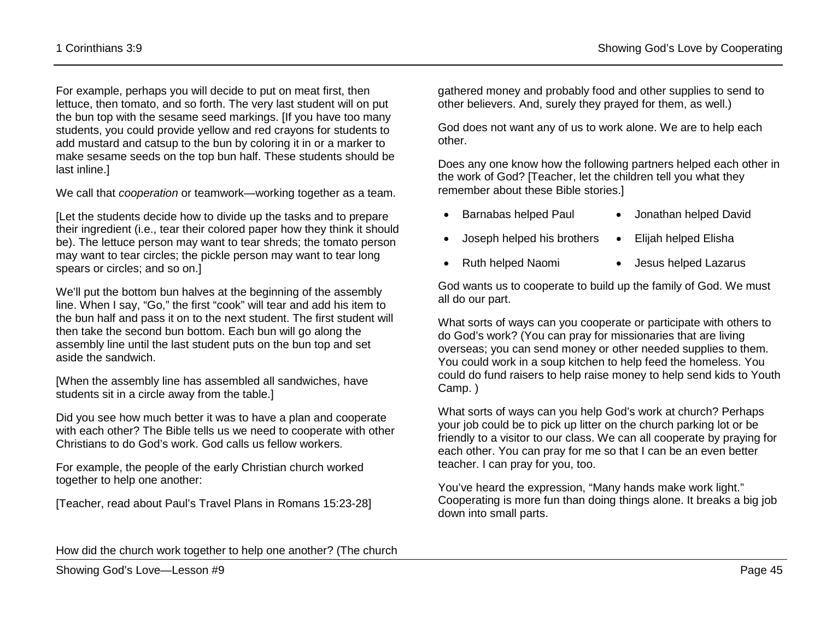For example, perhaps you will decide to put on meat first, then lettuce, then tomato, and so forth. The very last student will on put the bun top with the sesame seed markings. [If you have too many students, you could provide yellow and red crayons for students to add mustard and catsup to the bun by coloring it in or a marker to make sesame seeds on the top bun half. These students should be last inline.]

We call that *cooperation* or teamwork—working together as a team.

[Let the students decide how to divide up the tasks and to prepare their ingredient (i.e., tear their colored paper how they think it should be). The lettuce person may want to tear shreds; the tomato person may want to tear circles; the pickle person may want to tear long spears or circles; and so on.]

We'll put the bottom bun halves at the beginning of the assembly line. When I say, "Go," the first "cook" will tear and add his item to the bun half and pass it on to the next student. The first student will then take the second bun bottom. Each bun will go along the assembly line until the last student puts on the bun top and set aside the sandwich.

[When the assembly line has assembled all sandwiches, have students sit in a circle away from the table.]

Did you see how much better it was to have a plan and cooperate with each other? The Bible tells us we need to cooperate with other Christians to do God's work. God calls us fellow workers.

For example, the people of the early Christian church worked together to help one another:

[Teacher, read about Paul's Travel Plans in Romans 15:23-28]

gathered money and probably food and other supplies to send to other believers. And, surely they prayed for them, as well.)

God does not want any of us to work alone. We are to help each other.

Does any one know how the following partners helped each other in the work of God? [Teacher, let the children tell you what they remember about these Bible stories.]

- Barnabas helped Paul Jonathan helped David
- Joseph helped his brothers Elijah helped Elisha
- Ruth helped Naomi Jesus helped Lazarus
	-

God wants us to cooperate to build up the family of God. We must all do our part.

What sorts of ways can you cooperate or participate with others to do God's work? (You can pray for missionaries that are living overseas; you can send money or other needed supplies to them. You could work in a soup kitchen to help feed the homeless. You could do fund raisers to help raise money to help send kids to Youth Camp. )

What sorts of ways can you help God's work at church? Perhaps your job could be to pick up litter on the church parking lot or be friendly to a visitor to our class. We can all cooperate by praying for each other. You can pray for me so that I can be an even better teacher. I can pray for you, too.

You've heard the expression, "Many hands make work light." Cooperating is more fun than doing things alone. It breaks a big job down into small parts.

How did the church work together to help one another? (The church

Showing God's Love—Lesson #9 Page 45